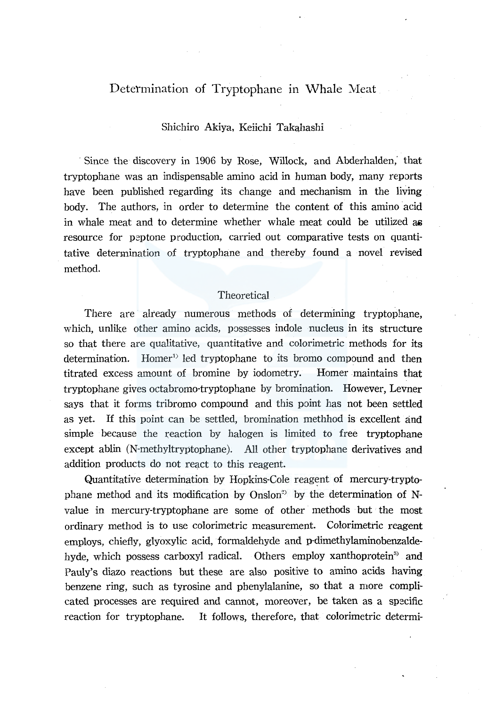# Determination of Tryptophane in Whale Meat

## Shichiro Akiya, Keiichi Takahashi

Since the discovery in 1906 by Rose, Willock, and Abderhalden, that tryptophane was an indispensable amino acid in human body, many reports have been published regarding its change and mechanism in the living body. The authors, in order to determine the content of this amino acid in whale meat and to determine whether whale meat could be utilized as resource for peptone production, carried out comparative tests on quantitative detennination of tryptophane and thereby found a novel revised method.

#### Theoretical

There are already numerous methods of determining tryptophane, which, unlike other amino acids, possesses indole nucleus in its structure so that there are qualitative, quantitative and colorimetric methods for its determination. Homer<sup>1</sup> led tryptophane to its bromo compound and then titrated excess amount of bromine by iodometry. Homer maintains that tryptophane gives octabromo-tryptophane by bromination. However, Levner says that it forms tribromo compound and this point has not been settled as yet. If this point can be settled, bromination methhod is excellent and simple because the reaction by halogen is limited to free tryptophane except ablin (N-methyltryptophane). All other tryptophane derivatives and addition products do not react to this reagent.

Quantitative determination by Hopkins-Cole reagent of mercury-tryptophane method and its modification by Onslon<sup>23</sup> by the determination of Nvalue in mercury-tryptophane are some of other methods but the most ordinary method is to use colorimetric measurement. Colorimetric reagent employs, chiefly, glyoxylic acid, formaldehyde and p-dimethylaminobenzaldehyde, which possess carboxyl radical. Others employ xanthoprotein<sup>3</sup> and Pauly's diazo reactions but these are also positive to amino acids having benzene ring, such as tyrosine and phenylalanine, so that a more complicated processes are required and cannot, moreover, be taken as a specific reaction for tryptophane. It follows, therefore, that colorimetric determi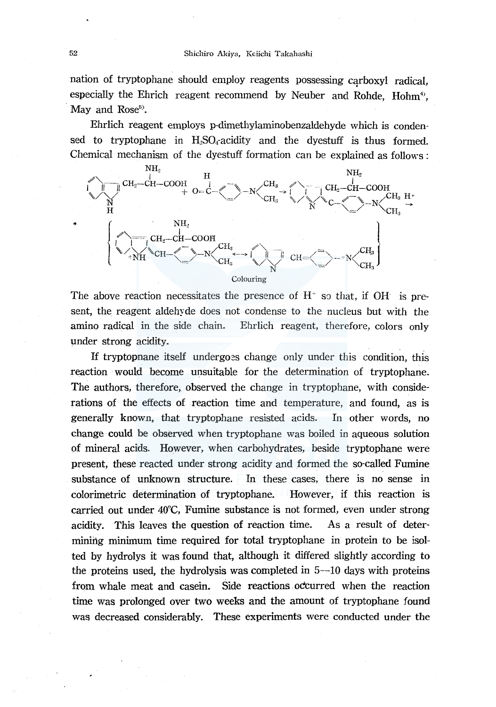nation of tryptophane should employ reagents possessing carboxyl radical, especially the Ehrich reagent recommend by Neuber and Rohde,  $Hohm<sup>4</sup>$ , May and Rose<sup>5</sup>).

Ehrlich reagent employs p-dimethylaminobenzaldehyde which is condensed to tryptophane in  $H_2SO_4$  acidity and the dyestuff is thus formed. Chemical mechanism of the dyestuff formation can be explained as follows :



The above reaction necessitates the presence of  $H^*$  so that, if OH is present, the reagent aldehyde does not condense to the nucleus but with the amino radical in the side chain. Ehrlich reagent, therefore, colors only under strong acidity.

If tryptopnane itself undergoes change only under this condition, this reaction would become unsuitable for the determination of tryptophane. The authors, therefore, observed the change in tryptophane, with considerations of the effects of reaction time and temperature, and found, as is generally known, that tryptophane resisted acids. In other words, no change could be observed when tryptophane was boiled in aqueous solution of mineral acids. However, when carbohydrates, beside tryptophane were present, these reacted under strong acidity and formed the so-called Fumine substance of unknown structure. In these cases, there is no sense in colorimetric determination of tryptophane. However, if this reaction is carried out under 40°C, Fumine substance is not formed, even under strong acidity. This leaves the question of reaction time. As a result of determining minimum time required for total tryptophane in protein to be isolted by hydrolys it was found that, although it differed slightly according to the proteins used, the hydrolysis was completed in  $5-10$  days with proteins from whale meat and casein. Side reactions occurred when the reaction time was prolonged over two weeks and the amount of tryptophane found was decreased considerably. These experiments were conducted under the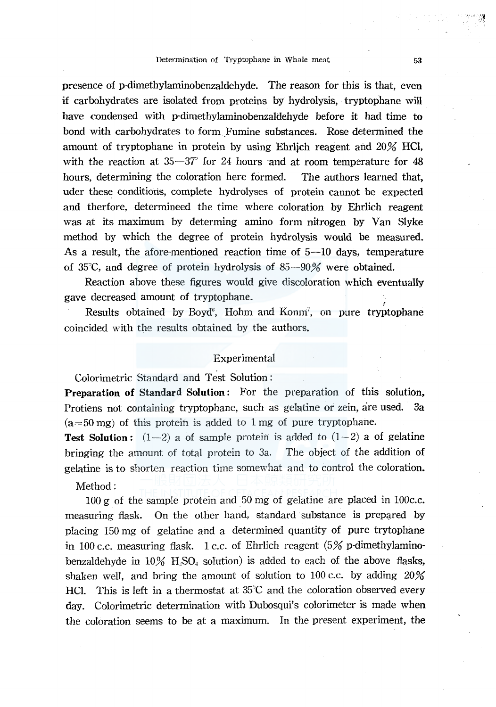presence of p-dimethylaminobenzaldehyde. The reason for this is that, even if carbohydrates are isolated from proteins by hydrolysis, tryptophane will have condensed with p-dimethylaminobenzaldehyde before it had time to bond with carbohydrates to form \_Fumine substances. Rose determined the amount of tryptophane in protein by using Ehrlich reagent and 20% HCl, with the reaction at  $35-37^{\circ}$  for 24 hours and at room temperature for 48 hours, determining the coloration here formed. The authors learned that, uder these conditions, complete hydrolyses of protein cannot be expected and therfore, determineed the time where coloration by Ehrlich reagent was at its maximum by determing amino form nitrogen by Van Slyke method by which the degree of protein hydrolysis would be measured. As a result, the afore-mentioned reaction time of  $5-10$  days, temperature of 35"C, and degree of protein hydrolysis of 85-90% were obtained.

Reaction above these figures would give discoloration which eventually gave decreased amount of tryptophane.

Results obtained by Boyd<sup>6</sup>, Hohm and Konm<sup>7</sup>, on pure tryptophane coincided with the results obtained by the authors.

#### Experimental

Colorimetric Standard and Test Solution:

Preparation of Standard Solution: For the preparation of this solution, Protiens not containing tryptophane, such as gelatine or zein, are used. 3a  $(a=50 \text{ mg})$  of this protein is added to 1 mg of pure tryptophane.

**Test Solution:**  $(1-2)$  a of sample protein is added to  $(1-2)$  a of gelatine bringing the amount of total protein to 3a. The object of the addition of gelatine is to shorten reaction time somewhat and to control the coloration.

Method:

 $100 g$  of the sample protein and  $50 mg$  of gelatine are placed in  $100c.c.$ measuring flask. On the other hand, standard substance is prepared by placing 150 mg of gelatine and a determined quantity of pure trytophane in 100 c.c. measuring flask. 1 c.c. of Ehrlich reagent  $(5\%$  p-dimethylaminobenzaldehyde in  $10\%$  H<sub>2</sub>SO<sub>4</sub> solution) is added to each of the above flasks, shaken well, and bring the amount of solution to 100 c.c. by adding 20% HCl. This is left in a thermostat at 35°C and the coloration observed every day. Colorimetric determination with Dubosqui's colorimeter is made when the coloration seems to be at a maximum. In the present experiment, the